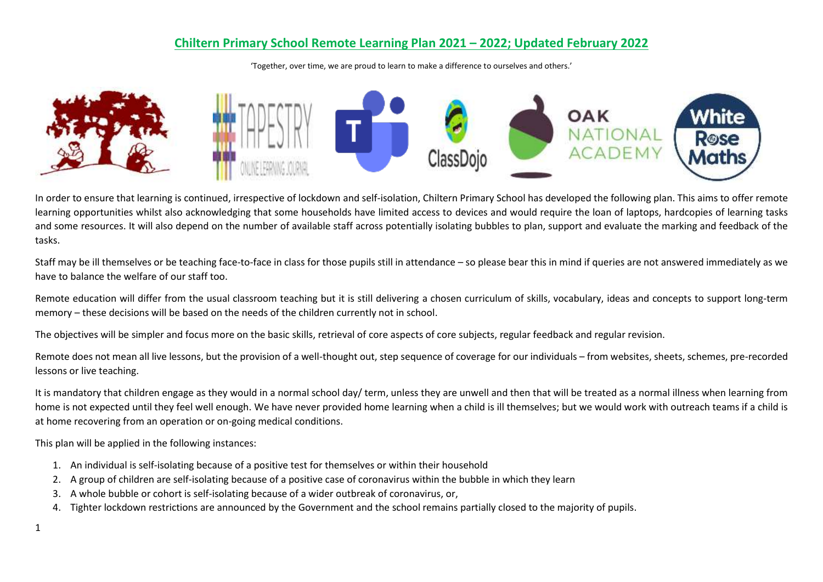## **Chiltern Primary School Remote Learning Plan 2021 – 2022; Updated February 2022**

'Together, over time, we are proud to learn to make a difference to ourselves and others.'



In order to ensure that learning is continued, irrespective of lockdown and self-isolation, Chiltern Primary School has developed the following plan. This aims to offer remote learning opportunities whilst also acknowledging that some households have limited access to devices and would require the loan of laptops, hardcopies of learning tasks and some resources. It will also depend on the number of available staff across potentially isolating bubbles to plan, support and evaluate the marking and feedback of the tasks.

Staff may be ill themselves or be teaching face-to-face in class for those pupils still in attendance – so please bear this in mind if queries are not answered immediately as we have to balance the welfare of our staff too.

Remote education will differ from the usual classroom teaching but it is still delivering a chosen curriculum of skills, vocabulary, ideas and concepts to support long-term memory – these decisions will be based on the needs of the children currently not in school.

The objectives will be simpler and focus more on the basic skills, retrieval of core aspects of core subjects, regular feedback and regular revision.

Remote does not mean all live lessons, but the provision of a well-thought out, step sequence of coverage for our individuals – from websites, sheets, schemes, pre-recorded lessons or live teaching.

It is mandatory that children engage as they would in a normal school day/ term, unless they are unwell and then that will be treated as a normal illness when learning from home is not expected until they feel well enough. We have never provided home learning when a child is ill themselves; but we would work with outreach teams if a child is at home recovering from an operation or on-going medical conditions.

This plan will be applied in the following instances:

- 1. An individual is self-isolating because of a positive test for themselves or within their household
- 2. A group of children are self-isolating because of a positive case of coronavirus within the bubble in which they learn
- 3. A whole bubble or cohort is self-isolating because of a wider outbreak of coronavirus, or,
- 4. Tighter lockdown restrictions are announced by the Government and the school remains partially closed to the majority of pupils.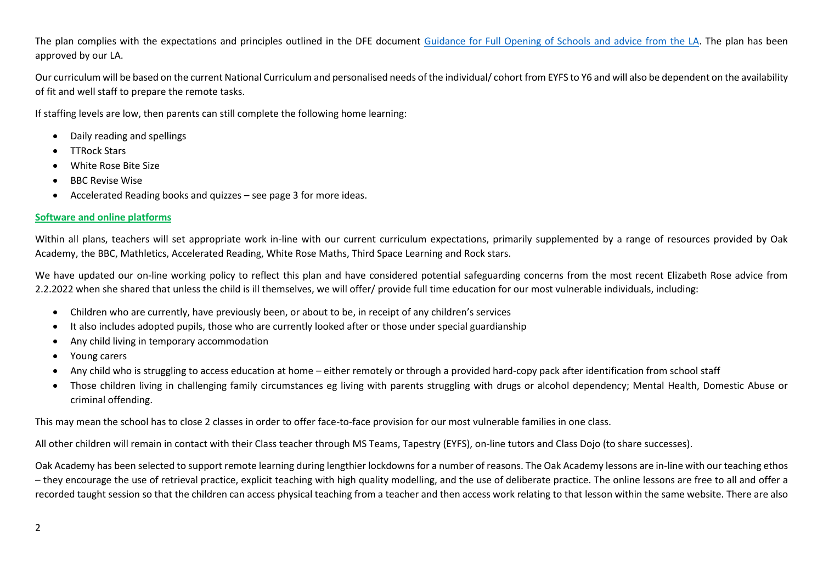The plan complies with the expectations and principles outlined in the DFE document [Guidance for Full Opening of Schools](https://www.gov.uk/government/publications/actions-for-schools-during-the-coronavirus-outbreak/guidance-for-full-opening-schools#res) and advice from the LA. The plan has been approved by our LA.

Our curriculum will be based on the current National Curriculum and personalised needs of the individual/ cohort from EYFS to Y6 and will also be dependent on the availability of fit and well staff to prepare the remote tasks.

If staffing levels are low, then parents can still complete the following home learning:

- Daily reading and spellings
- TTRock Stars
- White Rose Bite Size
- **BBC Revise Wise**
- Accelerated Reading books and quizzes see page 3 for more ideas.

## **Software and online platforms**

Within all plans, teachers will set appropriate work in-line with our current curriculum expectations, primarily supplemented by a range of resources provided by Oak Academy, the BBC, Mathletics, Accelerated Reading, White Rose Maths, Third Space Learning and Rock stars.

We have updated our on-line working policy to reflect this plan and have considered potential safeguarding concerns from the most recent Elizabeth Rose advice from 2.2.2022 when she shared that unless the child is ill themselves, we will offer/ provide full time education for our most vulnerable individuals, including:

- Children who are currently, have previously been, or about to be, in receipt of any children's services
- It also includes adopted pupils, those who are currently looked after or those under special guardianship
- Any child living in temporary accommodation
- Young carers
- Any child who is struggling to access education at home either remotely or through a provided hard-copy pack after identification from school staff
- Those children living in challenging family circumstances eg living with parents struggling with drugs or alcohol dependency; Mental Health, Domestic Abuse or criminal offending.

This may mean the school has to close 2 classes in order to offer face-to-face provision for our most vulnerable families in one class.

All other children will remain in contact with their Class teacher through MS Teams, Tapestry (EYFS), on-line tutors and Class Dojo (to share successes).

Oak Academy has been selected to support remote learning during lengthier lockdowns for a number of reasons. The Oak Academy lessons are in-line with our teaching ethos – they encourage the use of retrieval practice, explicit teaching with high quality modelling, and the use of deliberate practice. The online lessons are free to all and offer a recorded taught session so that the children can access physical teaching from a teacher and then access work relating to that lesson within the same website. There are also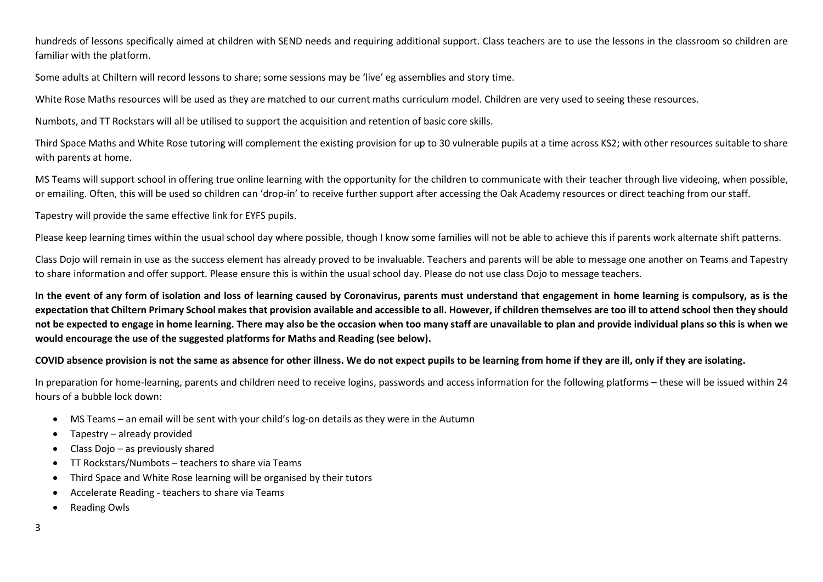hundreds of lessons specifically aimed at children with SEND needs and requiring additional support. Class teachers are to use the lessons in the classroom so children are familiar with the platform.

Some adults at Chiltern will record lessons to share; some sessions may be 'live' eg assemblies and story time.

White Rose Maths resources will be used as they are matched to our current maths curriculum model. Children are very used to seeing these resources.

Numbots, and TT Rockstars will all be utilised to support the acquisition and retention of basic core skills.

Third Space Maths and White Rose tutoring will complement the existing provision for up to 30 vulnerable pupils at a time across KS2; with other resources suitable to share with parents at home.

MS Teams will support school in offering true online learning with the opportunity for the children to communicate with their teacher through live videoing, when possible, or emailing. Often, this will be used so children can 'drop-in' to receive further support after accessing the Oak Academy resources or direct teaching from our staff.

Tapestry will provide the same effective link for EYFS pupils.

Please keep learning times within the usual school day where possible, though I know some families will not be able to achieve this if parents work alternate shift patterns.

Class Dojo will remain in use as the success element has already proved to be invaluable. Teachers and parents will be able to message one another on Teams and Tapestry to share information and offer support. Please ensure this is within the usual school day. Please do not use class Dojo to message teachers.

**In the event of any form of isolation and loss of learning caused by Coronavirus, parents must understand that engagement in home learning is compulsory, as is the expectation that Chiltern Primary School makes that provision available and accessible to all. However, if children themselves are too ill to attend school then they should not be expected to engage in home learning. There may also be the occasion when too many staff are unavailable to plan and provide individual plans so this is when we would encourage the use of the suggested platforms for Maths and Reading (see below).**

**COVID absence provision is not the same as absence for other illness. We do not expect pupils to be learning from home if they are ill, only if they are isolating.**

In preparation for home-learning, parents and children need to receive logins, passwords and access information for the following platforms – these will be issued within 24 hours of a bubble lock down:

- MS Teams an email will be sent with your child's log-on details as they were in the Autumn
- Tapestry already provided
- Class Dojo as previously shared
- TT Rockstars/Numbots teachers to share via Teams
- Third Space and White Rose learning will be organised by their tutors
- Accelerate Reading teachers to share via Teams
- Reading Owls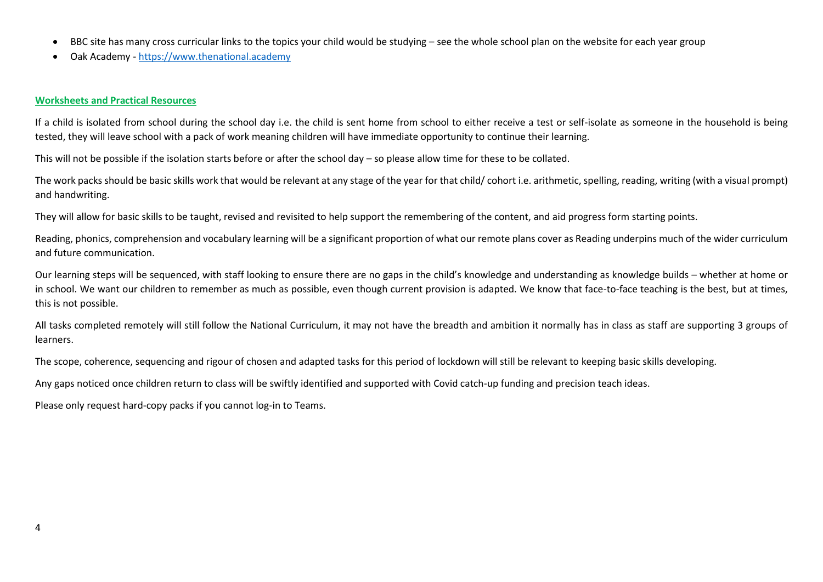- BBC site has many cross curricular links to the topics your child would be studying see the whole school plan on the website for each year group
- Oak Academy [https://www.thenational.academy](https://www.thenational.academy/)

## **Worksheets and Practical Resources**

If a child is isolated from school during the school day i.e. the child is sent home from school to either receive a test or self-isolate as someone in the household is being tested, they will leave school with a pack of work meaning children will have immediate opportunity to continue their learning.

This will not be possible if the isolation starts before or after the school day – so please allow time for these to be collated.

The work packs should be basic skills work that would be relevant at any stage of the year for that child/ cohort i.e. arithmetic, spelling, reading, writing (with a visual prompt) and handwriting.

They will allow for basic skills to be taught, revised and revisited to help support the remembering of the content, and aid progress form starting points.

Reading, phonics, comprehension and vocabulary learning will be a significant proportion of what our remote plans cover as Reading underpins much of the wider curriculum and future communication.

Our learning steps will be sequenced, with staff looking to ensure there are no gaps in the child's knowledge and understanding as knowledge builds – whether at home or in school. We want our children to remember as much as possible, even though current provision is adapted. We know that face-to-face teaching is the best, but at times, this is not possible.

All tasks completed remotely will still follow the National Curriculum, it may not have the breadth and ambition it normally has in class as staff are supporting 3 groups of learners.

The scope, coherence, sequencing and rigour of chosen and adapted tasks for this period of lockdown will still be relevant to keeping basic skills developing.

Any gaps noticed once children return to class will be swiftly identified and supported with Covid catch-up funding and precision teach ideas.

Please only request hard-copy packs if you cannot log-in to Teams.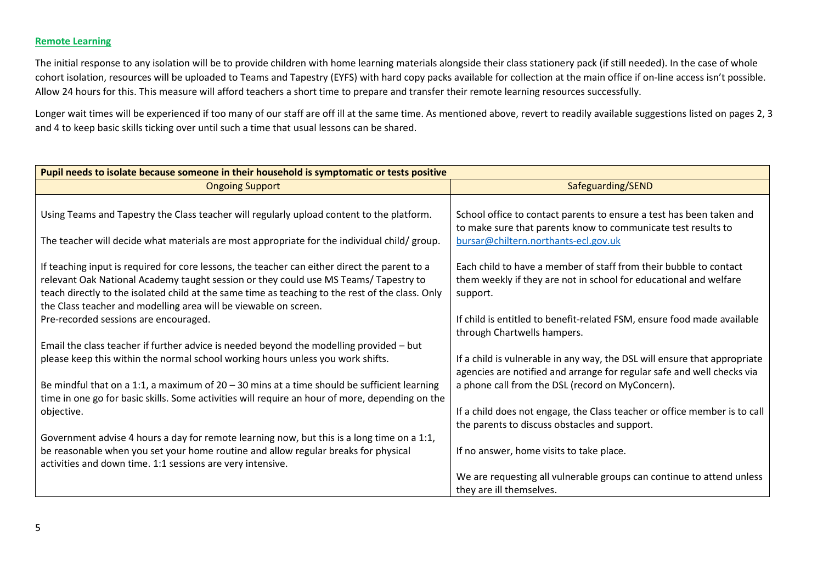## **Remote Learning**

The initial response to any isolation will be to provide children with home learning materials alongside their class stationery pack (if still needed). In the case of whole cohort isolation, resources will be uploaded to Teams and Tapestry (EYFS) with hard copy packs available for collection at the main office if on-line access isn't possible. Allow 24 hours for this. This measure will afford teachers a short time to prepare and transfer their remote learning resources successfully.

Longer wait times will be experienced if too many of our staff are off ill at the same time. As mentioned above, revert to readily available suggestions listed on pages 2, 3 and 4 to keep basic skills ticking over until such a time that usual lessons can be shared.

| Pupil needs to isolate because someone in their household is symptomatic or tests positive       |                                                                                                                                                     |  |
|--------------------------------------------------------------------------------------------------|-----------------------------------------------------------------------------------------------------------------------------------------------------|--|
| <b>Ongoing Support</b>                                                                           | Safeguarding/SEND                                                                                                                                   |  |
|                                                                                                  |                                                                                                                                                     |  |
| Using Teams and Tapestry the Class teacher will regularly upload content to the platform.        | School office to contact parents to ensure a test has been taken and                                                                                |  |
|                                                                                                  | to make sure that parents know to communicate test results to                                                                                       |  |
| The teacher will decide what materials are most appropriate for the individual child/ group.     | bursar@chiltern.northants-ecl.gov.uk                                                                                                                |  |
| If teaching input is required for core lessons, the teacher can either direct the parent to a    | Each child to have a member of staff from their bubble to contact                                                                                   |  |
| relevant Oak National Academy taught session or they could use MS Teams/ Tapestry to             | them weekly if they are not in school for educational and welfare                                                                                   |  |
| teach directly to the isolated child at the same time as teaching to the rest of the class. Only | support.                                                                                                                                            |  |
| the Class teacher and modelling area will be viewable on screen.                                 |                                                                                                                                                     |  |
| Pre-recorded sessions are encouraged.                                                            | If child is entitled to benefit-related FSM, ensure food made available                                                                             |  |
|                                                                                                  | through Chartwells hampers.                                                                                                                         |  |
| Email the class teacher if further advice is needed beyond the modelling provided - but          |                                                                                                                                                     |  |
| please keep this within the normal school working hours unless you work shifts.                  | If a child is vulnerable in any way, the DSL will ensure that appropriate<br>agencies are notified and arrange for regular safe and well checks via |  |
| Be mindful that on a 1:1, a maximum of $20 - 30$ mins at a time should be sufficient learning    | a phone call from the DSL (record on MyConcern).                                                                                                    |  |
| time in one go for basic skills. Some activities will require an hour of more, depending on the  |                                                                                                                                                     |  |
| objective.                                                                                       | If a child does not engage, the Class teacher or office member is to call                                                                           |  |
|                                                                                                  | the parents to discuss obstacles and support.                                                                                                       |  |
| Government advise 4 hours a day for remote learning now, but this is a long time on a 1:1,       |                                                                                                                                                     |  |
| be reasonable when you set your home routine and allow regular breaks for physical               | If no answer, home visits to take place.                                                                                                            |  |
| activities and down time. 1:1 sessions are very intensive.                                       |                                                                                                                                                     |  |
|                                                                                                  | We are requesting all vulnerable groups can continue to attend unless                                                                               |  |
|                                                                                                  | they are ill themselves.                                                                                                                            |  |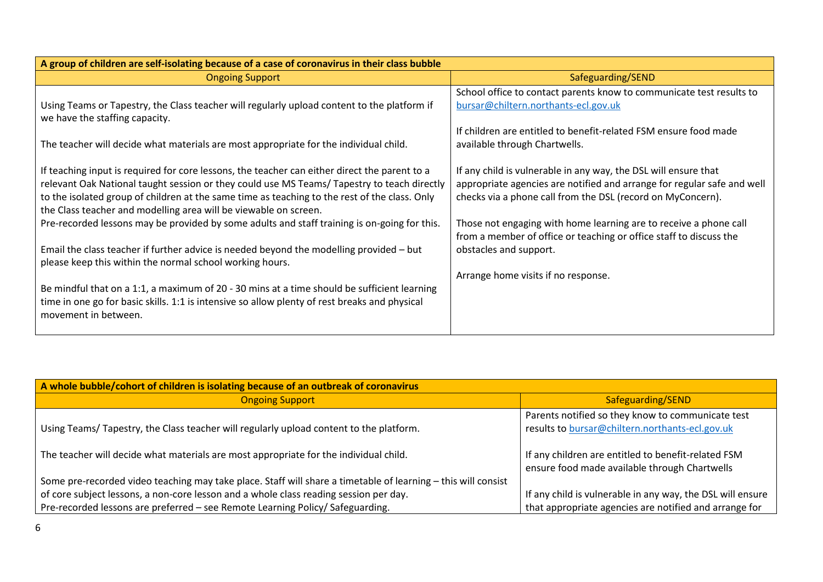| A group of children are self-isolating because of a case of coronavirus in their class bubble                                                                                                                                                                                                                                                                     |                                                                                                                                                                                                           |  |
|-------------------------------------------------------------------------------------------------------------------------------------------------------------------------------------------------------------------------------------------------------------------------------------------------------------------------------------------------------------------|-----------------------------------------------------------------------------------------------------------------------------------------------------------------------------------------------------------|--|
| <b>Ongoing Support</b>                                                                                                                                                                                                                                                                                                                                            | Safeguarding/SEND                                                                                                                                                                                         |  |
| Using Teams or Tapestry, the Class teacher will regularly upload content to the platform if<br>we have the staffing capacity.                                                                                                                                                                                                                                     | School office to contact parents know to communicate test results to<br>bursar@chiltern.northants-ecl.gov.uk                                                                                              |  |
| The teacher will decide what materials are most appropriate for the individual child.                                                                                                                                                                                                                                                                             | If children are entitled to benefit-related FSM ensure food made<br>available through Chartwells.                                                                                                         |  |
| If teaching input is required for core lessons, the teacher can either direct the parent to a<br>relevant Oak National taught session or they could use MS Teams/ Tapestry to teach directly<br>to the isolated group of children at the same time as teaching to the rest of the class. Only<br>the Class teacher and modelling area will be viewable on screen. | If any child is vulnerable in any way, the DSL will ensure that<br>appropriate agencies are notified and arrange for regular safe and well<br>checks via a phone call from the DSL (record on MyConcern). |  |
| Pre-recorded lessons may be provided by some adults and staff training is on-going for this.                                                                                                                                                                                                                                                                      | Those not engaging with home learning are to receive a phone call<br>from a member of office or teaching or office staff to discuss the                                                                   |  |
| Email the class teacher if further advice is needed beyond the modelling provided - but<br>please keep this within the normal school working hours.                                                                                                                                                                                                               | obstacles and support.                                                                                                                                                                                    |  |
|                                                                                                                                                                                                                                                                                                                                                                   | Arrange home visits if no response.                                                                                                                                                                       |  |
| Be mindful that on a 1:1, a maximum of 20 - 30 mins at a time should be sufficient learning<br>time in one go for basic skills. 1:1 is intensive so allow plenty of rest breaks and physical<br>movement in between.                                                                                                                                              |                                                                                                                                                                                                           |  |

| A whole bubble/cohort of children is isolating because of an outbreak of coronavirus                          |                                                                                                      |  |
|---------------------------------------------------------------------------------------------------------------|------------------------------------------------------------------------------------------------------|--|
| <b>Ongoing Support</b>                                                                                        | Safeguarding/SEND                                                                                    |  |
| Using Teams/ Tapestry, the Class teacher will regularly upload content to the platform.                       | Parents notified so they know to communicate test<br>results to bursar@chiltern.northants-ecl.gov.uk |  |
| The teacher will decide what materials are most appropriate for the individual child.                         | If any children are entitled to benefit-related FSM<br>ensure food made available through Chartwells |  |
| Some pre-recorded video teaching may take place. Staff will share a timetable of learning - this will consist |                                                                                                      |  |
| of core subject lessons, a non-core lesson and a whole class reading session per day.                         | If any child is vulnerable in any way, the DSL will ensure                                           |  |
| Pre-recorded lessons are preferred - see Remote Learning Policy/ Safeguarding.                                | that appropriate agencies are notified and arrange for                                               |  |